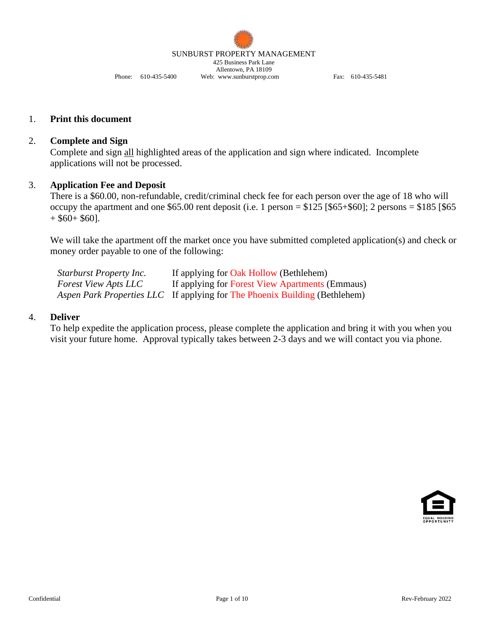

# 1. **Print this document**

# 2. **Complete and Sign**

Complete and sign all highlighted areas of the application and sign where indicated. Incomplete applications will not be processed.

# 3. **Application Fee and Deposit**

There is a \$60.00, non-refundable, credit/criminal check fee for each person over the age of 18 who will occupy the apartment and one  $$65.00$  rent deposit (i.e. 1 person =  $$125$  [ $$65+$60$ ]; 2 persons =  $$185$  [ $$65$ ]  $+$  \$60+ \$60].

We will take the apartment off the market once you have submitted completed application(s) and check or money order payable to one of the following:

| <b>Starburst Property Inc.</b> | If applying for Oak Hollow (Bethlehem)                                     |
|--------------------------------|----------------------------------------------------------------------------|
| <b>Forest View Apts LLC</b>    | If applying for Forest View Apartments (Emmaus)                            |
|                                | Aspen Park Properties LLC If applying for The Phoenix Building (Bethlehem) |

### 4. **Deliver**

To help expedite the application process, please complete the application and bring it with you when you visit your future home. Approval typically takes between 2-3 days and we will contact you via phone.

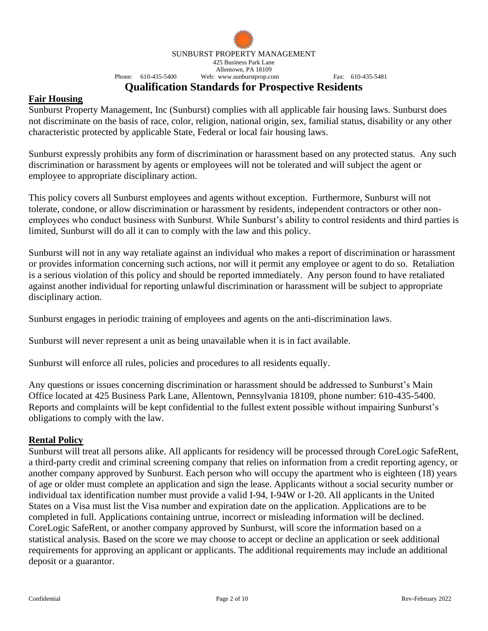

# **Fair Housing**

Sunburst Property Management, Inc (Sunburst) complies with all applicable fair housing laws. Sunburst does not discriminate on the basis of race, color, religion, national origin, sex, familial status, disability or any other characteristic protected by applicable State, Federal or local fair housing laws.

Sunburst expressly prohibits any form of discrimination or harassment based on any protected status. Any such discrimination or harassment by agents or employees will not be tolerated and will subject the agent or employee to appropriate disciplinary action.

This policy covers all Sunburst employees and agents without exception. Furthermore, Sunburst will not tolerate, condone, or allow discrimination or harassment by residents, independent contractors or other nonemployees who conduct business with Sunburst. While Sunburst's ability to control residents and third parties is limited, Sunburst will do all it can to comply with the law and this policy.

Sunburst will not in any way retaliate against an individual who makes a report of discrimination or harassment or provides information concerning such actions, nor will it permit any employee or agent to do so. Retaliation is a serious violation of this policy and should be reported immediately. Any person found to have retaliated against another individual for reporting unlawful discrimination or harassment will be subject to appropriate disciplinary action.

Sunburst engages in periodic training of employees and agents on the anti-discrimination laws.

Sunburst will never represent a unit as being unavailable when it is in fact available.

Sunburst will enforce all rules, policies and procedures to all residents equally.

Any questions or issues concerning discrimination or harassment should be addressed to Sunburst's Main Office located at 425 Business Park Lane, Allentown, Pennsylvania 18109, phone number: 610-435-5400. Reports and complaints will be kept confidential to the fullest extent possible without impairing Sunburst's obligations to comply with the law.

# **Rental Policy**

Sunburst will treat all persons alike. All applicants for residency will be processed through CoreLogic SafeRent, a third-party credit and criminal screening company that relies on information from a credit reporting agency, or another company approved by Sunburst. Each person who will occupy the apartment who is eighteen (18) years of age or older must complete an application and sign the lease. Applicants without a social security number or individual tax identification number must provide a valid I-94, I-94W or I-20. All applicants in the United States on a Visa must list the Visa number and expiration date on the application. Applications are to be completed in full. Applications containing untrue, incorrect or misleading information will be declined. CoreLogic SafeRent, or another company approved by Sunburst, will score the information based on a statistical analysis. Based on the score we may choose to accept or decline an application or seek additional requirements for approving an applicant or applicants. The additional requirements may include an additional deposit or a guarantor.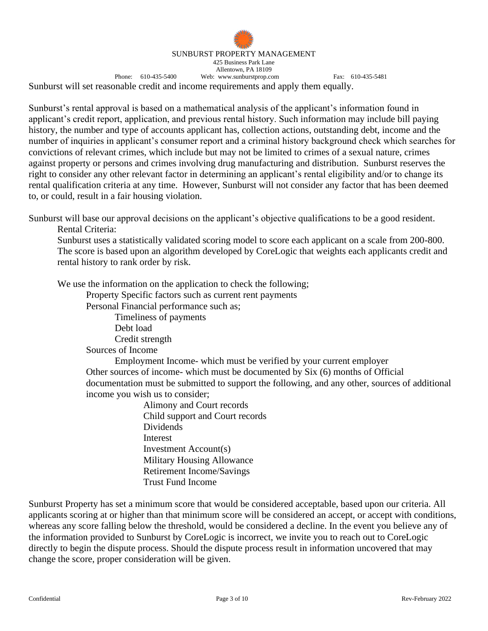

Sunburst's rental approval is based on a mathematical analysis of the applicant's information found in applicant's credit report, application, and previous rental history. Such information may include bill paying history, the number and type of accounts applicant has, collection actions, outstanding debt, income and the number of inquiries in applicant's consumer report and a criminal history background check which searches for convictions of relevant crimes, which include but may not be limited to crimes of a sexual nature, crimes against property or persons and crimes involving drug manufacturing and distribution. Sunburst reserves the right to consider any other relevant factor in determining an applicant's rental eligibility and/or to change its rental qualification criteria at any time. However, Sunburst will not consider any factor that has been deemed to, or could, result in a fair housing violation.

Sunburst will base our approval decisions on the applicant's objective qualifications to be a good resident.

Rental Criteria:

Sunburst uses a statistically validated scoring model to score each applicant on a scale from 200-800. The score is based upon an algorithm developed by CoreLogic that weights each applicants credit and rental history to rank order by risk.

We use the information on the application to check the following;

Property Specific factors such as current rent payments

Personal Financial performance such as;

Timeliness of payments

Debt load

Credit strength

Sources of Income

Employment Income- which must be verified by your current employer Other sources of income- which must be documented by Six (6) months of Official documentation must be submitted to support the following, and any other, sources of additional income you wish us to consider;

> Alimony and Court records Child support and Court records Dividends Interest Investment Account(s) Military Housing Allowance Retirement Income/Savings Trust Fund Income

Sunburst Property has set a minimum score that would be considered acceptable, based upon our criteria. All applicants scoring at or higher than that minimum score will be considered an accept, or accept with conditions, whereas any score falling below the threshold, would be considered a decline. In the event you believe any of the information provided to Sunburst by CoreLogic is incorrect, we invite you to reach out to CoreLogic directly to begin the dispute process. Should the dispute process result in information uncovered that may change the score, proper consideration will be given.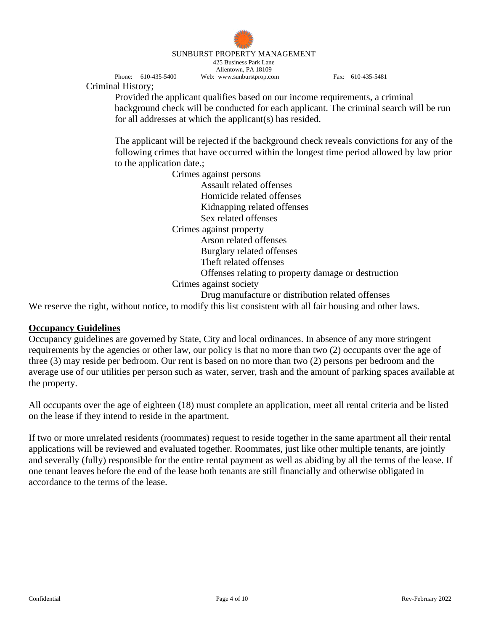

Criminal History;

Provided the applicant qualifies based on our income requirements, a criminal background check will be conducted for each applicant. The criminal search will be run for all addresses at which the applicant(s) has resided.

The applicant will be rejected if the background check reveals convictions for any of the following crimes that have occurred within the longest time period allowed by law prior to the application date.;

> Crimes against persons Assault related offenses Homicide related offenses Kidnapping related offenses Sex related offenses Crimes against property Arson related offenses Burglary related offenses Theft related offenses Offenses relating to property damage or destruction Crimes against society Drug manufacture or distribution related offenses

We reserve the right, without notice, to modify this list consistent with all fair housing and other laws.

# **Occupancy Guidelines**

Occupancy guidelines are governed by State, City and local ordinances. In absence of any more stringent requirements by the agencies or other law, our policy is that no more than two (2) occupants over the age of three (3) may reside per bedroom. Our rent is based on no more than two (2) persons per bedroom and the average use of our utilities per person such as water, server, trash and the amount of parking spaces available at the property.

All occupants over the age of eighteen (18) must complete an application, meet all rental criteria and be listed on the lease if they intend to reside in the apartment.

If two or more unrelated residents (roommates) request to reside together in the same apartment all their rental applications will be reviewed and evaluated together. Roommates, just like other multiple tenants, are jointly and severally (fully) responsible for the entire rental payment as well as abiding by all the terms of the lease. If one tenant leaves before the end of the lease both tenants are still financially and otherwise obligated in accordance to the terms of the lease.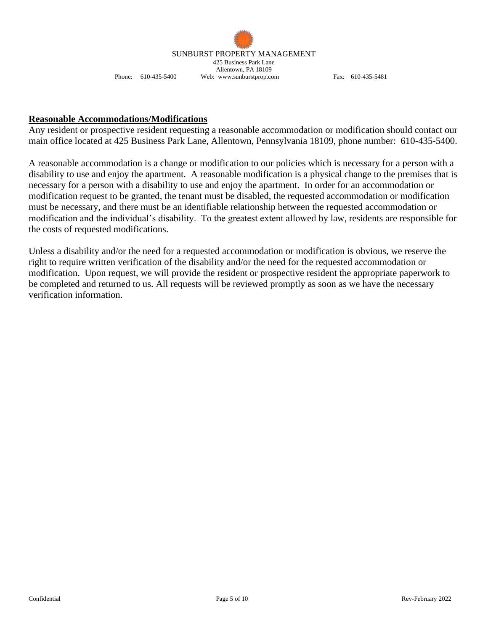

# **Reasonable Accommodations/Modifications**

Any resident or prospective resident requesting a reasonable accommodation or modification should contact our main office located at 425 Business Park Lane, Allentown, Pennsylvania 18109, phone number: 610-435-5400.

A reasonable accommodation is a change or modification to our policies which is necessary for a person with a disability to use and enjoy the apartment. A reasonable modification is a physical change to the premises that is necessary for a person with a disability to use and enjoy the apartment. In order for an accommodation or modification request to be granted, the tenant must be disabled, the requested accommodation or modification must be necessary, and there must be an identifiable relationship between the requested accommodation or modification and the individual's disability. To the greatest extent allowed by law, residents are responsible for the costs of requested modifications.

Unless a disability and/or the need for a requested accommodation or modification is obvious, we reserve the right to require written verification of the disability and/or the need for the requested accommodation or modification. Upon request, we will provide the resident or prospective resident the appropriate paperwork to be completed and returned to us. All requests will be reviewed promptly as soon as we have the necessary verification information.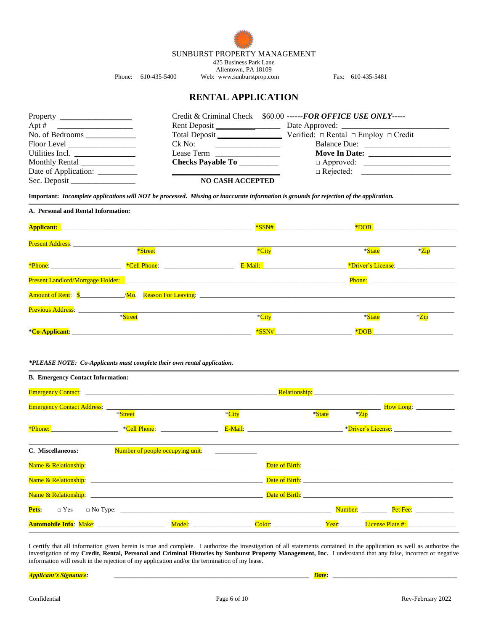

Phone: 610-435-5400 Web: www.sunburstprop.com Fax: 610-435-5481

# **RENTAL APPLICATION**

| Property                                                                                 |                                                                                                                                                                                                                                | Credit & Criminal Check \$60.00 ------FOR OFFICE USE ONLY----- |
|------------------------------------------------------------------------------------------|--------------------------------------------------------------------------------------------------------------------------------------------------------------------------------------------------------------------------------|----------------------------------------------------------------|
| Apt $#$<br><u> 1989 - Johann John Stein, mars ar breis an t-Amerikaansk ferskeider (</u> |                                                                                                                                                                                                                                |                                                                |
| No. of Bedrooms                                                                          |                                                                                                                                                                                                                                |                                                                |
|                                                                                          | Ck No:                                                                                                                                                                                                                         | Balance Due:                                                   |
| Utilities Incl.                                                                          | Lease Term and the state of the state of the state of the state of the state of the state of the state of the state of the state of the state of the state of the state of the state of the state of the state of the state of | Move In Date:                                                  |
| Monthly Rental                                                                           | Checks Payable To _________                                                                                                                                                                                                    |                                                                |
| Date of Application: ___________                                                         |                                                                                                                                                                                                                                |                                                                |
|                                                                                          | <b>NO CASH ACCEPTED</b>                                                                                                                                                                                                        |                                                                |

**Important:** *Incomplete applications will NOT be processed. Missing or inaccurate information is grounds for rejection of the application.*

#### **A. Personal and Rental Information:**

|         | $*SSN#$                                                                                                        | $*$ DOB                    |         |
|---------|----------------------------------------------------------------------------------------------------------------|----------------------------|---------|
| *Street | $*$ City                                                                                                       | *State                     | $*$ Zip |
|         |                                                                                                                | *Driver's License:         |         |
|         |                                                                                                                | Phone: <b>Example</b> 2014 |         |
|         | Amount of Rent: Same Common Common Contract of Reason For Leaving: Common Common Common Common Common Common C |                            |         |
| *Street | *City                                                                                                          | *State                     | $*Zip$  |
|         | *SSN#                                                                                                          | *DOB                       |         |

#### *\*PLEASE NOTE: Co-Applicants must complete their own rental application.*

| <b>B. Emergency Contact Information:</b> |                                                                                                                                                                                                        |       |        |        |                                                                                                                                                                                                                                |
|------------------------------------------|--------------------------------------------------------------------------------------------------------------------------------------------------------------------------------------------------------|-------|--------|--------|--------------------------------------------------------------------------------------------------------------------------------------------------------------------------------------------------------------------------------|
|                                          |                                                                                                                                                                                                        |       |        |        |                                                                                                                                                                                                                                |
|                                          | Emergency Contact Address:<br>Figures:<br>Street                                                                                                                                                       | *City | *State | $*Zip$ | How Long: ____________                                                                                                                                                                                                         |
|                                          |                                                                                                                                                                                                        |       |        |        |                                                                                                                                                                                                                                |
|                                          | <b>*Phone: *Phone: *Cell Phone: *Cell Phone: *Cell Phone: *Cell Phone: *Cell Phone: *Cell Phone: *Cell Phone: *Cell Phone: *Cell Phone: *Cell Phone: *Cell Phone: *Cell Phone: *Cell Phone: *Cell </b> |       |        |        | *Driver's License: National Account of the Second Second Second Second Second Second Second Second Second Second Second Second Second Second Second Second Second Second Second Second Second Second Second Second Second Seco |
| C. Miscellaneous:                        | Number of people occupying unit:                                                                                                                                                                       |       |        |        |                                                                                                                                                                                                                                |
|                                          |                                                                                                                                                                                                        |       |        |        |                                                                                                                                                                                                                                |
|                                          |                                                                                                                                                                                                        |       |        |        |                                                                                                                                                                                                                                |
|                                          |                                                                                                                                                                                                        |       |        |        | Date of Birth: National Contract of Birth:                                                                                                                                                                                     |
|                                          | <b>Pets:</b> $\Box$ Yes $\Box$ No Type: $\Box$                                                                                                                                                         |       |        |        | Number: ____________ Pet Fee: _____________                                                                                                                                                                                    |
|                                          | Automobile Info: Make: ______________________ Model: _____________________ Color: __________________ Year: _________License Plate #:                                                                   |       |        |        |                                                                                                                                                                                                                                |

I certify that all information given herein is true and complete. I authorize the investigation of all statements contained in the application as well as authorize the investigation of my **Credit, Rental, Personal and Criminal Histories by Sunburst Property Management, Inc.** I understand that any false, incorrect or negative information will result in the rejection of my application and/or the termination of my lease.

*Applicant's Signature: \_\_\_\_\_\_\_\_\_\_\_\_\_\_\_\_\_\_\_\_\_\_\_\_\_\_\_\_\_\_\_\_\_\_\_\_\_\_\_\_\_\_\_\_\_\_\_\_\_\_\_\_\_\_\_\_\_\_\_\_\_ Date: \_\_\_\_\_\_\_\_\_\_\_\_\_\_\_\_\_\_\_\_\_\_\_\_\_\_\_\_\_\_\_\_\_\_\_\_\_\_\_*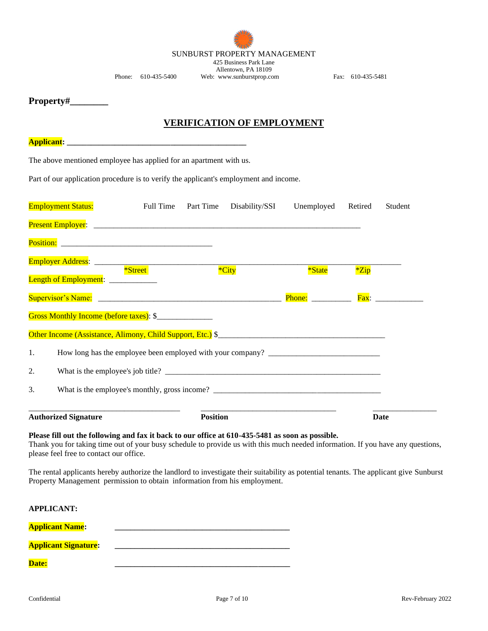

**Property#\_\_\_\_\_\_\_\_**

# **VERIFICATION OF EMPLOYMENT**

#### **Applicant: \_\_\_\_\_\_\_\_\_\_\_\_\_\_\_\_\_\_\_\_\_\_\_\_\_\_\_\_\_\_\_\_\_\_\_\_\_\_\_\_\_\_\_\_\_**

The above mentioned employee has applied for an apartment with us.

Part of our application procedure is to verify the applicant's employment and income.

| <b>Employment Status:</b>                                        | Full Time | Part Time       | Disability/SSI | Unemployed                 | Retired | Student                   |
|------------------------------------------------------------------|-----------|-----------------|----------------|----------------------------|---------|---------------------------|
|                                                                  |           |                 |                |                            |         |                           |
|                                                                  |           |                 |                |                            |         |                           |
| *Street                                                          |           |                 | *City          | *State                     | $*$ Zip |                           |
| Length of Employment: ____________                               |           |                 |                |                            |         |                           |
|                                                                  |           |                 |                | $\overline{\text{Phone:}}$ |         | $\overline{\text{Fax}}$ : |
| Gross Monthly Income (before taxes): \$                          |           |                 |                |                            |         |                           |
| Other Income (Assistance, Alimony, Child Support, Etc.) \$       |           |                 |                |                            |         |                           |
| How long has the employee been employed with your company?<br>1. |           |                 |                |                            |         |                           |
| 2.                                                               |           |                 |                |                            |         |                           |
| 3.<br>What is the employee's monthly, gross income?              |           |                 |                |                            |         |                           |
| <b>Authorized Signature</b>                                      |           | <b>Position</b> |                |                            |         | Date                      |

**Please fill out the following and fax it back to our office at 610-435-5481 as soon as possible.** Thank you for taking time out of your busy schedule to provide us with this much needed information. If you have any questions, please feel free to contact our office.

The rental applicants hereby authorize the landlord to investigate their suitability as potential tenants. The applicant give Sunburst Property Management permission to obtain information from his employment.

| <b>APPLICANT:</b>           |  |
|-----------------------------|--|
| <b>Applicant Name:</b>      |  |
| <b>Applicant Signature:</b> |  |
| Date:                       |  |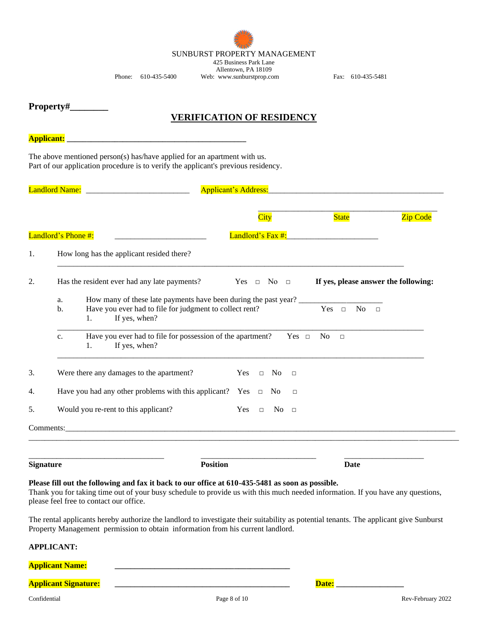

|    | <b>VERIFICATION OF RESIDENCY</b>                                                                                                                                              |            |                          |                 |        |                                      |          |
|----|-------------------------------------------------------------------------------------------------------------------------------------------------------------------------------|------------|--------------------------|-----------------|--------|--------------------------------------|----------|
|    |                                                                                                                                                                               |            |                          |                 |        |                                      |          |
|    | The above mentioned person(s) has/have applied for an apartment with us.<br>Part of our application procedure is to verify the applicant's previous residency.                |            |                          |                 |        |                                      |          |
|    |                                                                                                                                                                               |            |                          |                 |        |                                      |          |
|    |                                                                                                                                                                               |            | City                     |                 |        | State                                | Zip Code |
|    | Landlord's Phone #:                                                                                                                                                           |            |                          |                 |        |                                      |          |
| 1. | How long has the applicant resided there?                                                                                                                                     |            |                          |                 |        |                                      |          |
| 2. | Has the resident ever had any late payments?                                                                                                                                  |            | $Yes \Box No \Box$       |                 |        | If yes, please answer the following: |          |
|    | How many of these late payments have been during the past year? _______________<br>a.<br>Have you ever had to file for judgment to collect rent?<br>b.<br>If yes, when?<br>1. |            |                          |                 |        | Yes $\Box$<br><b>No</b><br>$\Box$    |          |
|    | Have you ever had to file for possession of the apartment? Yes $\Box$ No $\Box$<br>C <sub>1</sub><br>If yes, when?<br>1.                                                      |            |                          |                 |        |                                      |          |
| 3. | Were there any damages to the apartment?                                                                                                                                      |            | $Yes \square No \square$ |                 |        |                                      |          |
| 4. | Have you had any other problems with this applicant? Yes $\Box$ No                                                                                                            |            |                          |                 | $\Box$ |                                      |          |
| 5. | Would you re-rent to this applicant?                                                                                                                                          | <b>Yes</b> | $\Box$                   | No <sub>1</sub> |        |                                      |          |
|    |                                                                                                                                                                               |            |                          |                 |        |                                      |          |
|    |                                                                                                                                                                               |            |                          |                 |        |                                      |          |
|    | <b>Position</b><br><b>Signature</b>                                                                                                                                           |            |                          |                 |        | Date                                 |          |

Thank you for taking time out of your busy schedule to provide us with this much needed information. If you have any questions, please feel free to contact our office.

The rental applicants hereby authorize the landlord to investigate their suitability as potential tenants. The applicant give Sunburst Property Management permission to obtain information from his current landlord.

### **APPLICANT:**

# **Applicant Name: \_\_\_\_\_\_\_\_\_\_\_\_\_\_\_\_\_\_\_\_\_\_\_\_\_\_\_\_\_\_\_\_\_\_\_\_\_\_\_\_\_\_\_\_**

# **Applicant Signature: \_\_\_\_\_\_\_\_\_\_\_\_\_\_\_\_\_\_\_\_\_\_\_\_\_\_\_\_\_\_\_\_\_\_\_\_\_\_\_\_\_\_\_\_ Date: \_\_\_\_\_\_\_\_\_\_\_\_\_\_\_\_\_**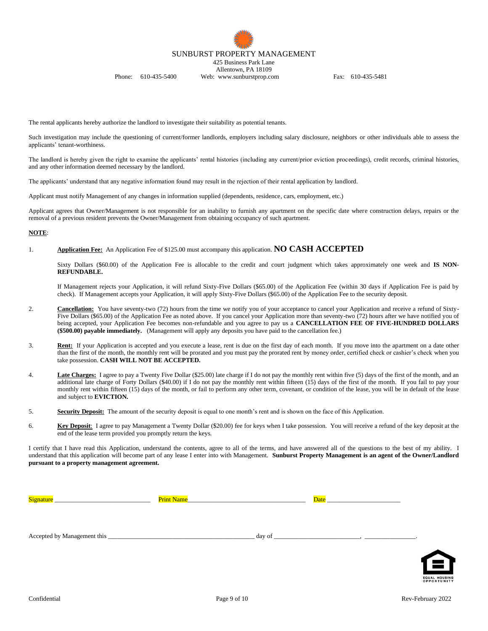

Phone: 610-435-5400 Web: www.sunburstprop.com Fax: 610-435-5481

The rental applicants hereby authorize the landlord to investigate their suitability as potential tenants.

Such investigation may include the questioning of current/former landlords, employers including salary disclosure, neighbors or other individuals able to assess the applicants' tenant-worthiness.

The landlord is hereby given the right to examine the applicants' rental histories (including any current/prior eviction proceedings), credit records, criminal histories, and any other information deemed necessary by the landlord.

The applicants' understand that any negative information found may result in the rejection of their rental application by landlord.

Applicant must notify Management of any changes in information supplied (dependents, residence, cars, employment, etc.)

Applicant agrees that Owner/Management is not responsible for an inability to furnish any apartment on the specific date where construction delays, repairs or the removal of a previous resident prevents the Owner/Management from obtaining occupancy of such apartment.

#### **NOTE**:

1. **Application Fee:** An Application Fee of \$125.00 must accompany this application. **NO CASH ACCEPTED**

Sixty Dollars (\$60.00) of the Application Fee is allocable to the credit and court judgment which takes approximately one week and **IS NON-REFUNDABLE.**

If Management rejects your Application, it will refund Sixty-Five Dollars (\$65.00) of the Application Fee (within 30 days if Application Fee is paid by check). If Management accepts your Application, it will apply Sixty-Five Dollars (\$65.00) of the Application Fee to the security deposit.

- 2. **Cancellation:** You have seventy-two (72) hours from the time we notify you of your acceptance to cancel your Application and receive a refund of Sixty-Five Dollars (\$65.00) of the Application Fee as noted above. If you cancel your Application more than seventy-two (72) hours after we have notified you of being accepted, your Application Fee becomes non-refundable and you agree to pay us a **CANCELLATION FEE OF FIVE-HUNDRED DOLLARS (\$500.00) payable immediately.** (Management will apply any deposits you have paid to the cancellation fee.)
- 3. **Rent:** If your Application is accepted and you execute a lease, rent is due on the first day of each month. If you move into the apartment on a date other than the first of the month, the monthly rent will be prorated and you must pay the prorated rent by money order, certified check or cashier's check when you take possession. **CASH WILL NOT BE ACCEPTED.**
- 4. **Late Charges:** I agree to pay a Twenty Five Dollar (\$25.00) late charge if I do not pay the monthly rent within five (5) days of the first of the month, and an additional late charge of Forty Dollars (\$40.00) if I do not pay the monthly rent within fifteen (15) days of the first of the month. If you fail to pay your monthly rent within fifteen (15) days of the month, or fail to perform any other term, covenant, or condition of the lease, you will be in default of the lease and subject to **EVICTION.**
- 5. **Security Deposit:** The amount of the security deposit is equal to one month's rent and is shown on the face of this Application.
- 6. **Key Deposit**:I agree to pay Management a Twenty Dollar (\$20.00) fee for keys when I take possession. You will receive a refund of the key deposit at the end of the lease term provided you promptly return the keys.

I certify that I have read this Application, understand the contents, agree to all of the terms, and have answered all of the questions to the best of my ability. I understand that this application will become part of any lease I enter into with Management. **Sunburst Property Management is an agent of the Owner/Landlord pursuant to a property management agreement.** 

| Signature | <b>Print Name Example 1</b> | <b>Date</b>                                                                                                                                                                                                                    |  |
|-----------|-----------------------------|--------------------------------------------------------------------------------------------------------------------------------------------------------------------------------------------------------------------------------|--|
|           |                             |                                                                                                                                                                                                                                |  |
|           |                             | day of the contract of the contract of the contract of the contract of the contract of the contract of the contract of the contract of the contract of the contract of the contract of the contract of the contract of the con |  |
|           |                             |                                                                                                                                                                                                                                |  |